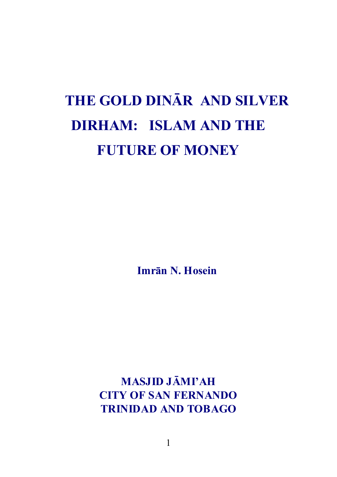# THE GOLD DINĀR AND SILVER DIRHAM: ISLAM AND THE FUTURE OF MONEY

Imrān N. Hosein

MASJID JĀMI'AH CITY OF SAN FERNANDO TRINIDAD AND TOBAGO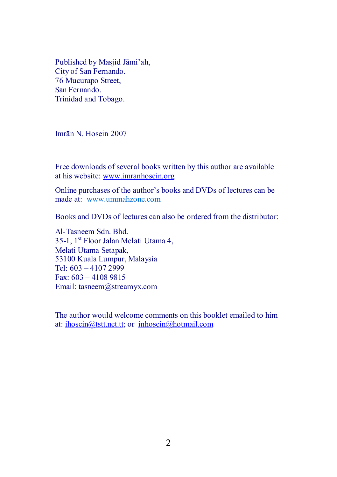Published by Masjid Jāmi'ah, City of San Fernando. 76 Mucurapo Street, San Fernando. Trinidad and Tobago.

Imrān N. Hosein 2007

Free downloads of several books written by this author are available at his website: www.imranhosein.org

Online purchases of the author's books and DVDs of lectures can be made at: www.ummahzone.com

Books and DVDs of lectures can also be ordered from the distributor:

Al-Tasneem Sdn. Bhd. 35-1, 1st Floor Jalan Melati Utama 4, Melati Utama Setapak, 53100 Kuala Lumpur, Malaysia Tel: 603 – 4107 2999 Fax: 603 – 4108 9815 Email: tasneem@streamyx.com

The author would welcome comments on this booklet emailed to him at: ihosein@tstt.net.tt; or inhosein@hotmail.com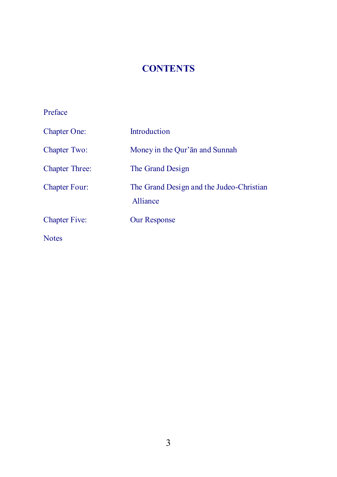# **CONTENTS**

#### Preface

| <b>Chapter One:</b>   | Introduction                                         |
|-----------------------|------------------------------------------------------|
| Chapter Two:          | Money in the Qur'an and Sunnah                       |
| <b>Chapter Three:</b> | The Grand Design                                     |
| <b>Chapter Four:</b>  | The Grand Design and the Judeo-Christian<br>Alliance |
| <b>Chapter Five:</b>  | Our Response                                         |
| <b>Notes</b>          |                                                      |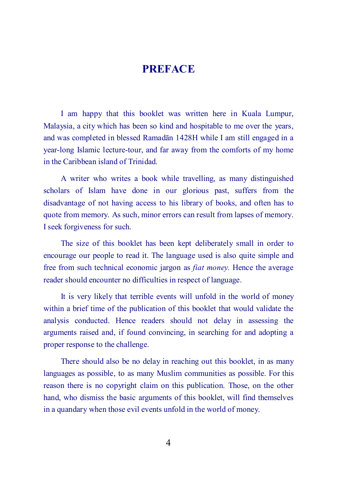#### **PREFACE**

I am happy that this booklet was written here in Kuala Lumpur, Malaysia, a city which has been so kind and hospitable to me over the years, and was completed in blessed Ramadān 1428H while I am still engaged in a year-long Islamic lecture-tour, and far away from the comforts of my home in the Caribbean island of Trinidad.

A writer who writes a book while travelling, as many distinguished scholars of Islam have done in our glorious past, suffers from the disadvantage of not having access to his library of books, and often has to quote from memory. As such, minor errors can result from lapses of memory. I seek forgiveness for such.

The size of this booklet has been kept deliberately small in order to encourage our people to read it. The language used is also quite simple and free from such technical economic jargon as fiat money. Hence the average reader should encounter no difficulties in respect of language.

It is very likely that terrible events will unfold in the world of money within a brief time of the publication of this booklet that would validate the analysis conducted. Hence readers should not delay in assessing the arguments raised and, if found convincing, in searching for and adopting a proper response to the challenge.

There should also be no delay in reaching out this booklet, in as many languages as possible, to as many Muslim communities as possible. For this reason there is no copyright claim on this publication. Those, on the other hand, who dismiss the basic arguments of this booklet, will find themselves in a quandary when those evil events unfold in the world of money.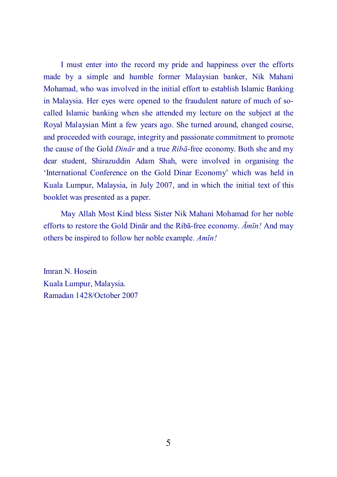I must enter into the record my pride and happiness over the efforts made by a simple and humble former Malaysian banker, Nik Mahani Mohamad, who was involved in the initial effort to establish Islamic Banking in Malaysia. Her eyes were opened to the fraudulent nature of much of socalled Islamic banking when she attended my lecture on the subject at the Royal Malaysian Mint a few years ago. She turned around, changed course, and proceeded with courage, integrity and passionate commitment to promote the cause of the Gold Dinār and a true Ribā-free economy. Both she and my dear student, Shirazuddin Adam Shah, were involved in organising the 'International Conference on the Gold Dinar Economy' which was held in Kuala Lumpur, Malaysia, in July 2007, and in which the initial text of this booklet was presented as a paper.

May Allah Most Kind bless Sister Nik Mahani Mohamad for her noble efforts to restore the Gold Dinār and the Ribā-free economy.  $\overline{A}m\overline{n}n!$  And may others be inspired to follow her noble example. Amīn!

Imran N. Hosein Kuala Lumpur, Malaysia. Ramadan 1428/October 2007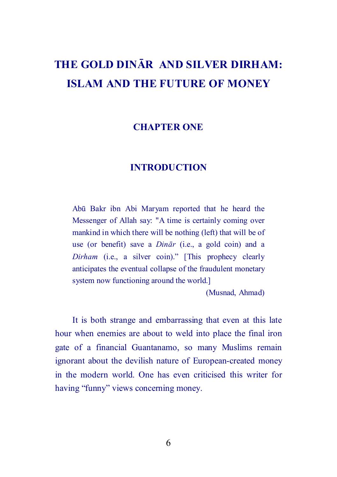# THE GOLD DINĀR AND SILVER DIRHAM: ISLAM AND THE FUTURE OF MONEY

#### CHAPTER ONE

#### INTRODUCTION

Abū Bakr ibn Abi Maryam reported that he heard the Messenger of Allah say: "A time is certainly coming over mankind in which there will be nothing (left) that will be of use (or benefit) save a Dinār (i.e., a gold coin) and a Dirham (i.e., a silver coin)." [This prophecy clearly anticipates the eventual collapse of the fraudulent monetary system now functioning around the world.]

(Musnad, Ahmad)

It is both strange and embarrassing that even at this late hour when enemies are about to weld into place the final iron gate of a financial Guantanamo, so many Muslims remain ignorant about the devilish nature of European-created money in the modern world. One has even criticised this writer for having "funny" views concerning money.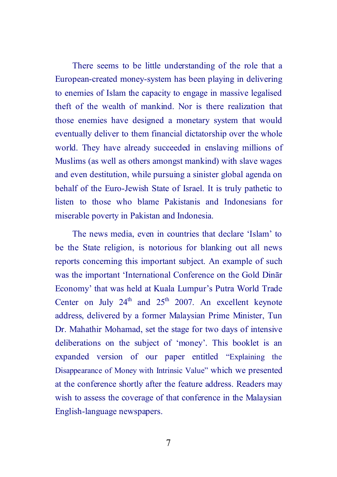There seems to be little understanding of the role that a European-created money-system has been playing in delivering to enemies of Islam the capacity to engage in massive legalised theft of the wealth of mankind. Nor is there realization that those enemies have designed a monetary system that would eventually deliver to them financial dictatorship over the whole world. They have already succeeded in enslaving millions of Muslims (as well as others amongst mankind) with slave wages and even destitution, while pursuing a sinister global agenda on behalf of the Euro-Jewish State of Israel. It is truly pathetic to listen to those who blame Pakistanis and Indonesians for miserable poverty in Pakistan and Indonesia.

The news media, even in countries that declare 'Islam' to be the State religion, is notorious for blanking out all news reports concerning this important subject. An example of such was the important 'International Conference on the Gold Dinār Economy' that was held at Kuala Lumpur's Putra World Trade Center on July  $24<sup>th</sup>$  and  $25<sup>th</sup>$  2007. An excellent keynote address, delivered by a former Malaysian Prime Minister, Tun Dr. Mahathir Mohamad, set the stage for two days of intensive deliberations on the subject of 'money'. This booklet is an expanded version of our paper entitled "Explaining the Disappearance of Money with Intrinsic Value" which we presented at the conference shortly after the feature address. Readers may wish to assess the coverage of that conference in the Malaysian English-language newspapers.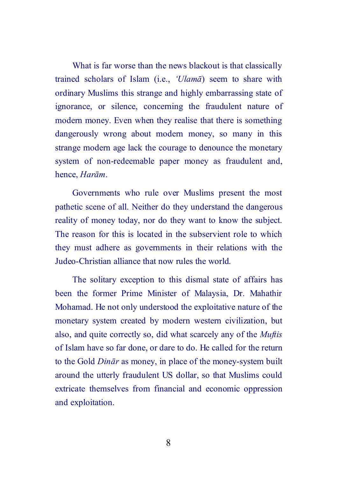What is far worse than the news blackout is that classically trained scholars of Islam (i.e., 'Ulamā) seem to share with ordinary Muslims this strange and highly embarrassing state of ignorance, or silence, concerning the fraudulent nature of modern money. Even when they realise that there is something dangerously wrong about modern money, so many in this strange modern age lack the courage to denounce the monetary system of non-redeemable paper money as fraudulent and, hence, Harām.

Governments who rule over Muslims present the most pathetic scene of all. Neither do they understand the dangerous reality of money today, nor do they want to know the subject. The reason for this is located in the subservient role to which they must adhere as governments in their relations with the Judeo-Christian alliance that now rules the world.

The solitary exception to this dismal state of affairs has been the former Prime Minister of Malaysia, Dr. Mahathir Mohamad. He not only understood the exploitative nature of the monetary system created by modern western civilization, but also, and quite correctly so, did what scarcely any of the Muftis of Islam have so far done, or dare to do. He called for the return to the Gold Dinār as money, in place of the money-system built around the utterly fraudulent US dollar, so that Muslims could extricate themselves from financial and economic oppression and exploitation.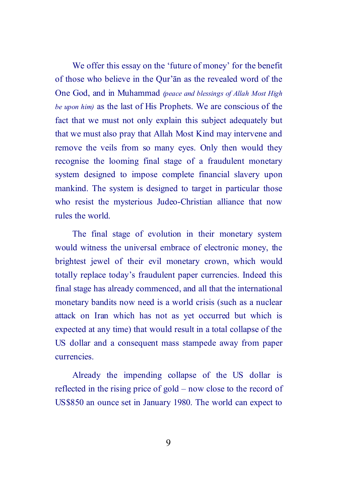We offer this essay on the 'future of money' for the benefit of those who believe in the Qur'ān as the revealed word of the One God, and in Muhammad (peace and blessings of Allah Most High be upon him) as the last of His Prophets. We are conscious of the fact that we must not only explain this subject adequately but that we must also pray that Allah Most Kind may intervene and remove the veils from so many eyes. Only then would they recognise the looming final stage of a fraudulent monetary system designed to impose complete financial slavery upon mankind. The system is designed to target in particular those who resist the mysterious Judeo-Christian alliance that now rules the world.

The final stage of evolution in their monetary system would witness the universal embrace of electronic money, the brightest jewel of their evil monetary crown, which would totally replace today's fraudulent paper currencies. Indeed this final stage has already commenced, and all that the international monetary bandits now need is a world crisis (such as a nuclear attack on Iran which has not as yet occurred but which is expected at any time) that would result in a total collapse of the US dollar and a consequent mass stampede away from paper currencies.

Already the impending collapse of the US dollar is reflected in the rising price of gold – now close to the record of US\$850 an ounce set in January 1980. The world can expect to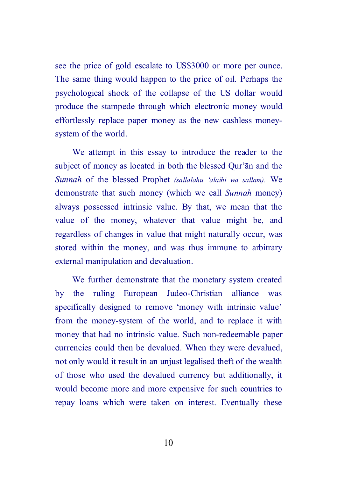see the price of gold escalate to US\$3000 or more per ounce. The same thing would happen to the price of oil. Perhaps the psychological shock of the collapse of the US dollar would produce the stampede through which electronic money would effortlessly replace paper money as the new cashless moneysystem of the world.

We attempt in this essay to introduce the reader to the subject of money as located in both the blessed Qur'ān and the Sunnah of the blessed Prophet (sallalahu 'alaihi wa sallam). We demonstrate that such money (which we call Sunnah money) always possessed intrinsic value. By that, we mean that the value of the money, whatever that value might be, and regardless of changes in value that might naturally occur, was stored within the money, and was thus immune to arbitrary external manipulation and devaluation.

We further demonstrate that the monetary system created by the ruling European Judeo-Christian alliance was specifically designed to remove 'money with intrinsic value' from the money-system of the world, and to replace it with money that had no intrinsic value. Such non-redeemable paper currencies could then be devalued. When they were devalued, not only would it result in an unjust legalised theft of the wealth of those who used the devalued currency but additionally, it would become more and more expensive for such countries to repay loans which were taken on interest. Eventually these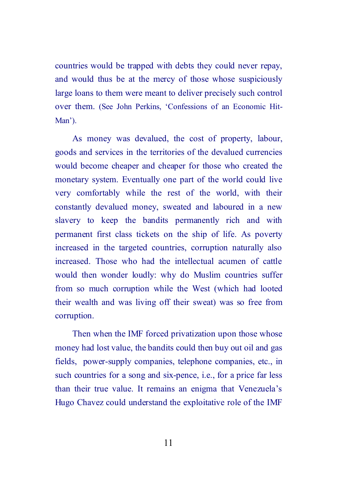countries would be trapped with debts they could never repay, and would thus be at the mercy of those whose suspiciously large loans to them were meant to deliver precisely such control over them. (See John Perkins, 'Confessions of an Economic Hit-Man').

As money was devalued, the cost of property, labour, goods and services in the territories of the devalued currencies would become cheaper and cheaper for those who created the monetary system. Eventually one part of the world could live very comfortably while the rest of the world, with their constantly devalued money, sweated and laboured in a new slavery to keep the bandits permanently rich and with permanent first class tickets on the ship of life. As poverty increased in the targeted countries, corruption naturally also increased. Those who had the intellectual acumen of cattle would then wonder loudly: why do Muslim countries suffer from so much corruption while the West (which had looted their wealth and was living off their sweat) was so free from corruption.

Then when the IMF forced privatization upon those whose money had lost value, the bandits could then buy out oil and gas fields, power-supply companies, telephone companies, etc., in such countries for a song and six-pence, i.e., for a price far less than their true value. It remains an enigma that Venezuela's Hugo Chavez could understand the exploitative role of the IMF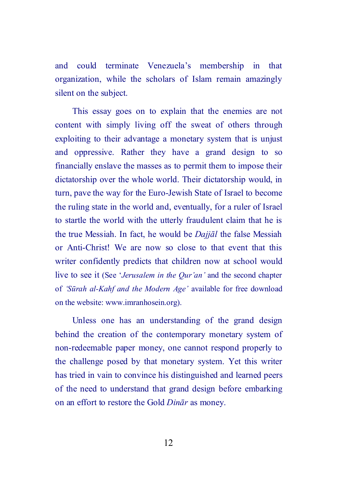and could terminate Venezuela's membership in that organization, while the scholars of Islam remain amazingly silent on the subject.

This essay goes on to explain that the enemies are not content with simply living off the sweat of others through exploiting to their advantage a monetary system that is unjust and oppressive. Rather they have a grand design to so financially enslave the masses as to permit them to impose their dictatorship over the whole world. Their dictatorship would, in turn, pave the way for the Euro-Jewish State of Israel to become the ruling state in the world and, eventually, for a ruler of Israel to startle the world with the utterly fraudulent claim that he is the true Messiah. In fact, he would be Dajjāl the false Messiah or Anti-Christ! We are now so close to that event that this writer confidently predicts that children now at school would live to see it (See 'Jerusalem in the Our'an' and the second chapter of 'Sūrah al-Kahf and the Modern Age' available for free download on the website: www.imranhosein.org).

Unless one has an understanding of the grand design behind the creation of the contemporary monetary system of non-redeemable paper money, one cannot respond properly to the challenge posed by that monetary system. Yet this writer has tried in vain to convince his distinguished and learned peers of the need to understand that grand design before embarking on an effort to restore the Gold Dinār as money.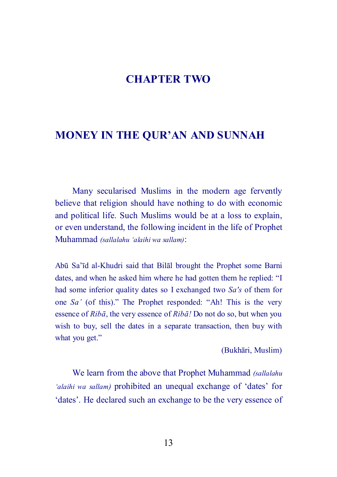# CHAPTER TWO

### MONEY IN THE QUR'AN AND SUNNAH

Many secularised Muslims in the modern age fervently believe that religion should have nothing to do with economic and political life. Such Muslims would be at a loss to explain, or even understand, the following incident in the life of Prophet Muhammad (sallalahu 'alaihi wa sallam):

Abū Sa'īd al-Khudri said that Bilāl brought the Prophet some Barni dates, and when he asked him where he had gotten them he replied: "I had some inferior quality dates so I exchanged two Sa's of them for one Sa' (of this)." The Prophet responded: "Ah! This is the very essence of  $Rib\bar{a}$ , the very essence of  $Rib\bar{a}$ ! Do not do so, but when you wish to buy, sell the dates in a separate transaction, then buy with what you get."

(Bukhāri, Muslim)

We learn from the above that Prophet Muhammad (sallalahu 'alaihi wa sallam) prohibited an unequal exchange of 'dates' for 'dates'. He declared such an exchange to be the very essence of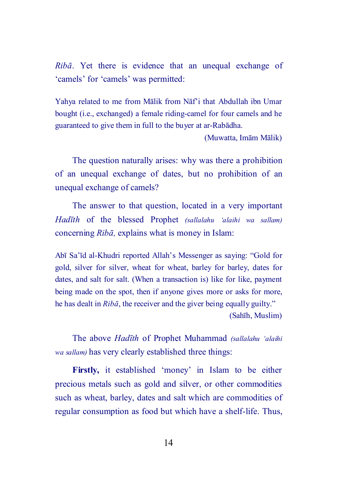Ribā. Yet there is evidence that an unequal exchange of 'camels' for 'camels' was permitted:

Yahya related to me from Mālik from Nāf'i that Abdullah ibn Umar bought (i.e., exchanged) a female riding-camel for four camels and he guaranteed to give them in full to the buyer at ar-Rabādha.

(Muwatta, Imām Mālik)

The question naturally arises: why was there a prohibition of an unequal exchange of dates, but no prohibition of an unequal exchange of camels?

The answer to that question, located in a very important Hadīth of the blessed Prophet (sallalahu 'alaihi wa sallam) concerning Ribā, explains what is money in Islam:

Abī Sa'īd al-Khudri reported Allah's Messenger as saying: "Gold for gold, silver for silver, wheat for wheat, barley for barley, dates for dates, and salt for salt. (When a transaction is) like for like, payment being made on the spot, then if anyone gives more or asks for more, he has dealt in Ribā, the receiver and the giver being equally guilty." (Sahīh, Muslim)

The above Hadīth of Prophet Muhammad (sallalahu 'alaihi wa sallam) has very clearly established three things:

Firstly, it established 'money' in Islam to be either precious metals such as gold and silver, or other commodities such as wheat, barley, dates and salt which are commodities of regular consumption as food but which have a shelf-life. Thus,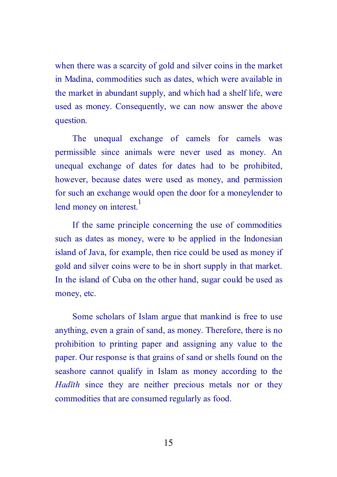when there was a scarcity of gold and silver coins in the market in Madina, commodities such as dates, which were available in the market in abundant supply, and which had a shelf life, were used as money. Consequently, we can now answer the above question.

The unequal exchange of camels for camels was permissible since animals were never used as money. An unequal exchange of dates for dates had to be prohibited, however, because dates were used as money, and permission for such an exchange would open the door for a moneylender to lend money on interest.<sup>1</sup>

If the same principle concerning the use of commodities such as dates as money, were to be applied in the Indonesian island of Java, for example, then rice could be used as money if gold and silver coins were to be in short supply in that market. In the island of Cuba on the other hand, sugar could be used as money, etc.

Some scholars of Islam argue that mankind is free to use anything, even a grain of sand, as money. Therefore, there is no prohibition to printing paper and assigning any value to the paper. Our response is that grains of sand or shells found on the seashore cannot qualify in Islam as money according to the Hadīth since they are neither precious metals nor or they commodities that are consumed regularly as food.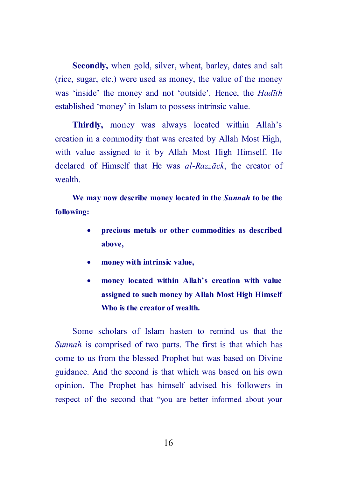Secondly, when gold, silver, wheat, barley, dates and salt (rice, sugar, etc.) were used as money, the value of the money was 'inside' the money and not 'outside'. Hence, the *Hadīth* established 'money' in Islam to possess intrinsic value.

Thirdly, money was always located within Allah's creation in a commodity that was created by Allah Most High, with value assigned to it by Allah Most High Himself. He declared of Himself that He was al-Razzāck, the creator of wealth.

We may now describe money located in the Sunnah to be the following:

- precious metals or other commodities as described above,
- money with intrinsic value,
- money located within Allah's creation with value assigned to such money by Allah Most High Himself Who is the creator of wealth.

Some scholars of Islam hasten to remind us that the Sunnah is comprised of two parts. The first is that which has come to us from the blessed Prophet but was based on Divine guidance. And the second is that which was based on his own opinion. The Prophet has himself advised his followers in respect of the second that "you are better informed about your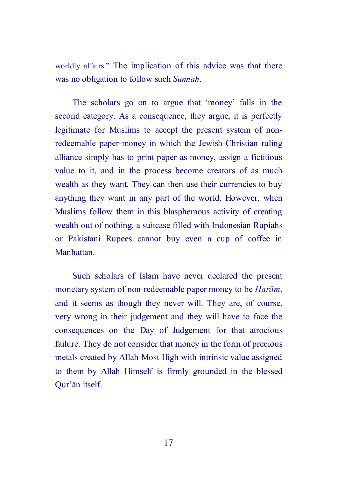worldly affairs." The implication of this advice was that there was no obligation to follow such Sunnah.

The scholars go on to argue that 'money' falls in the second category. As a consequence, they argue, it is perfectly legitimate for Muslims to accept the present system of nonredeemable paper-money in which the Jewish-Christian ruling alliance simply has to print paper as money, assign a fictitious value to it, and in the process become creators of as much wealth as they want. They can then use their currencies to buy anything they want in any part of the world. However, when Muslims follow them in this blasphemous activity of creating wealth out of nothing, a suitcase filled with Indonesian Rupiahs or Pakistani Rupees cannot buy even a cup of coffee in **Manhattan** 

Such scholars of Islam have never declared the present monetary system of non-redeemable paper money to be *Harām*, and it seems as though they never will. They are, of course, very wrong in their judgement and they will have to face the consequences on the Day of Judgement for that atrocious failure. They do not consider that money in the form of precious metals created by Allah Most High with intrinsic value assigned to them by Allah Himself is firmly grounded in the blessed Qur'ān itself.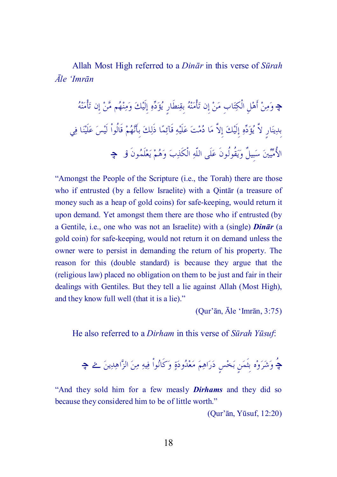Allah Most High referred to a Dinār in this verse of Sūrah Āle 'Imrān

**چ** وَمِنْ أَهْلِ الْكِتَابِ مَنْ إِن تَأْمَنْهُ بِقِنطَارٍ يُؤدِّهِ إِلَيْكَ وَمِنْهُم مَّنْ إِن تَأْمَنْهُ بِدينارٍ لاَّ يؤده إِلَيك إِلاَّ ما دمت علَيه قَآئما ذَلك بِأَنهم قَالُواْ لَيس علَينا في الأُمِّيِّينَ سَبِيلٌ وَيَقُولُونَ عَلَى اللّهِ الْكَذِبَ وَهُمْ يَعْلَمُونَ ۉ ﭼ

"Amongst the People of the Scripture (i.e., the Torah) there are those who if entrusted (by a fellow Israelite) with a Qintār (a treasure of money such as a heap of gold coins) for safe-keeping, would return it upon demand. Yet amongst them there are those who if entrusted (by a Gentile, i.e., one who was not an Israelite) with a (single) **Dinār** (a gold coin) for safe-keeping, would not return it on demand unless the owner were to persist in demanding the return of his property. The reason for this (double standard) is because they argue that the (religious law) placed no obligation on them to be just and fair in their dealings with Gentiles. But they tell a lie against Allah (Most High), and they know full well (that it is a lie)."

(Qur'ān, Āle 'Imrān, 3:75)

He also referred to a Dirham in this verse of Sūrah Yūsuf:

 $\hat{\boldsymbol{\epsilon}}$  وَشَرَوْه بِثَمَن بَخْس دَرَاهِمَ مَعْدُودَةٍ وَكَانُواْ فِيهِ مِنَ الزَّاهِدِينَ ئے چ

"And they sold him for a few measly **Dirhams** and they did so because they considered him to be of little worth."

(Qur'ān, Yūsuf, 12:20)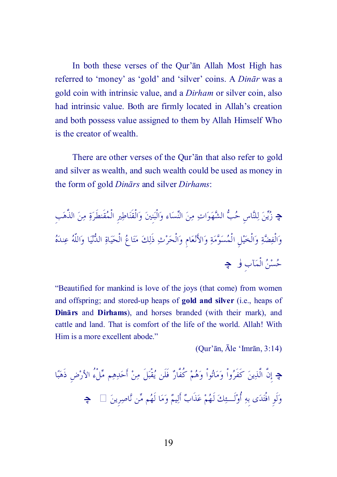In both these verses of the Qur'ān Allah Most High has referred to 'money' as 'gold' and 'silver' coins. A Dinār was a gold coin with intrinsic value, and a Dirham or silver coin, also had intrinsic value. Both are firmly located in Allah's creation and both possess value assigned to them by Allah Himself Who is the creator of wealth.

There are other verses of the Qur'ān that also refer to gold and silver as wealth, and such wealth could be used as money in the form of gold Dinārs and silver Dirhams:

U زين للناسِ حب الشهوات من النساء والْبنِين والْقَناطيرِ الْمقَنطَرة من الذَّهبِ والْفضة والْخيلِ الْمسومة والأَنعامِ والْحرث ذَلك متاع الْحياة الدنيا واللّه عنده حسن الْمآبِ ۈ W

"Beautified for mankind is love of the joys (that come) from women and offspring; and stored-up heaps of gold and silver (i.e., heaps of Dinārs and Dirhams), and horses branded (with their mark), and cattle and land. That is comfort of the life of the world. Allah! With Him is a more excellent abode."

(Qur'ān, Āle 'Imrān, 3:14)

U إِنَّ الَّذين كَفَرواْ وماتواْ وهم كُفَّار فَلَن يقْبلَ من أَحدهم ملْءُ الأرضِ ذَهبا ولَوِ افْتدى بِه أُولَـئك لَهم عذَاب أَليم وما لَهم من ناصرِين [ W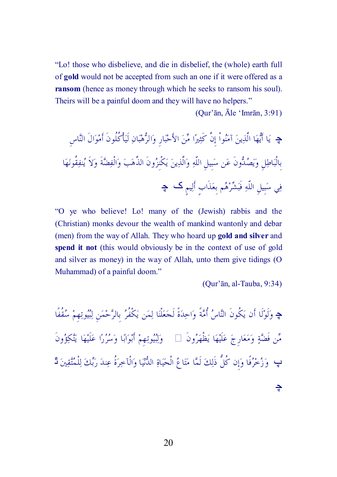"Lo! those who disbelieve, and die in disbelief, the (whole) earth full of gold would not be accepted from such an one if it were offered as a **ransom** (hence as money through which he seeks to ransom his soul). Theirs will be a painful doom and they will have no helpers."

(Qur'ān, Āle 'Imrān, 3:91)

U يا أَيها الَّذين آمنواْ إِنَّ كَثيرا من الأَحبارِ والرهبان لَيأْكُلُونَ أَموالَ الناسِ بِالْباطلِ ويصدونَ عن سبِيلِ اللّه والَّذين يكْنِزونَ الذَّهب والْفضةَ ولاَ ينفقُونها فِي سَبيلِ اللّهِ فَبَشِّرْهُم بِعَذَابٍ أَلِيمٍ ك

"O ye who believe! Lo! many of the (Jewish) rabbis and the (Christian) monks devour the wealth of mankind wantonly and debar (men) from the way of Allah. They who hoard up gold and silver and spend it not (this would obviously be in the context of use of gold and silver as money) in the way of Allah, unto them give tidings (O Muhammad) of a painful doom."

(Qur'ān, al-Tauba, 9:34)

U ولَولَا أَن يكُونَ الناس أُمةً واحدةً لَجعلْنا لمن يكْفُر بِالرحمنِ لبيوتهِم سقُفًا من فَضة ومعارِج علَيها يظْهرونَ ] ولبيوتهِم أَبوابا وسررا علَيها يتكؤونَ پ وزخرفًا وإِن كُلُّ ذَلك لَما متاع الْحياة الدنيا والْآخرةُ عند ربك للْمتقين ٿ  $\Rightarrow$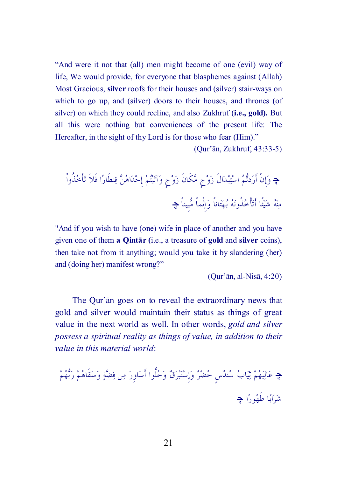"And were it not that (all) men might become of one (evil) way of life, We would provide, for everyone that blasphemes against (Allah) Most Gracious, silver roofs for their houses and (silver) stair-ways on which to go up, and (silver) doors to their houses, and thrones (of silver) on which they could recline, and also Zukhruf (i.e., gold). But all this were nothing but conveniences of the present life: The Hereafter, in the sight of thy Lord is for those who fear (Him)."

(Qur'ān, Zukhruf, 43:33-5)

U وإِنْ أَردتم استبدالَ زوجٍ مكَانَ زوجٍ وآتيتم إِحداهن قنطَارا فَلاَ تأْخذُواْ مِنْهُ شَيْئًا أَتَأْخُذُونَهُ بُهْتَاناً وَإِثْماً مُّبيناً ﭽ

"And if you wish to have (one) wife in place of another and you have given one of them a Qintār (i.e., a treasure of gold and silver coins), then take not from it anything; would you take it by slandering (her) and (doing her) manifest wrong?"

(Qur'ān, al-Nisā, 4:20)

The Qur'ān goes on to reveal the extraordinary news that gold and silver would maintain their status as things of great value in the next world as well. In other words, gold and silver possess a spiritual reality as things of value, in addition to their value in this material world:

U عاليهم ثياب سندسٍ خضر وإِستبرق وحلُّوا أَساوِر من فضة وسقَاهم ربهم شرابا طَهورا W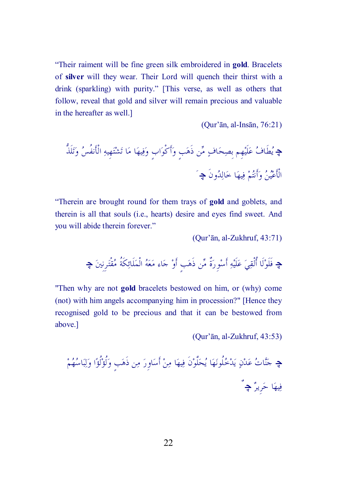"Their raiment will be fine green silk embroidered in gold. Bracelets of silver will they wear. Their Lord will quench their thirst with a drink (sparkling) with purity." [This verse, as well as others that follow, reveal that gold and silver will remain precious and valuable in the hereafter as well.]

(Qur'ān, al-Insān, 76:21)

U يطَاف علَيهِم بِصحاف من ذَهبٍ وأَكْوابٍ وفيها ما تشتهِيه الْأَنفُس وتلَذُّ الْأَعْيُنُ وَأَنتُمْ فِيهَا خَالِدُونَ جِبَ

"Therein are brought round for them trays of gold and goblets, and therein is all that souls (i.e., hearts) desire and eyes find sweet. And you will abide therein forever."

(Qur'ān, al-Zukhruf, 43:71)

ج فَلَوْلَا أُلْقِيَ عَلَيْهِ أَسْوِرَةٌ مِّن ذَهَب أَوْ جَاء مَعَهُ الْمَلَائِكَةُ مُقْتَرِن<sup>ِ</sup>ينَ جِ

"Then why are not **gold** bracelets bestowed on him, or (why) come (not) with him angels accompanying him in procession?" [Hence they recognised gold to be precious and that it can be bestowed from above.]

(Qur'ān, al-Zukhruf, 43:53)

جِ حَنَّاتُ عَدْنٍ يَدْخُلُونَهَا يُحَلَّوْنَ فِيهَا مِنْ أَسَاوِرَ مِن ذَهَبٍ وَلُؤْلُؤًا وَلِبَاسُهُمْ فِيهَا حَرِيرٌ **ﭽ** ٌ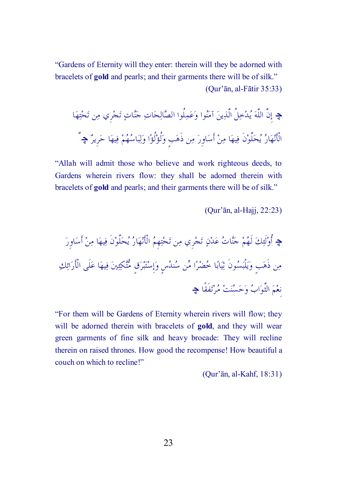"Gardens of Eternity will they enter: therein will they be adorned with bracelets of gold and pearls; and their garments there will be of silk." (Qur'ān, al-Fātir 35:33)

U إِنَّ اللَّه يدخلُ الَّذين آمنوا وعملُوا الصالحات جنات تجرِي من تحتها الْأَنْهَارُ يُحَلَّوْنَ فِيهَا مِنْ أَسَاوِرَ مِن ذَهَب وَلُؤُلُؤًا وَلِبَاسُهُمْ فِيهَا حَرِيرٌ جِنٌّ

"Allah will admit those who believe and work righteous deeds, to Gardens wherein rivers flow: they shall be adorned therein with bracelets of gold and pearls; and their garments there will be of silk."

(Qur'ān, al-Hajj, 22:23)

U أُولَئك لَهم جنات عدن تجرِي من تحتهِم الْأَنهار يحلَّونَ فيها من أَساوِر مِن ذَهَب وَيَلْبَسُونَ ثِيَابًا خُضْرًا مِّن سُندُس وَإِسْتَبْرَق مُتَّكِينَ فِيهَا عَلَى الْأَرَائِكِ نِعْمَ الثَّوَابُ وَحَسُنَتْ مُرْتَفَقًا جِ

"For them will be Gardens of Eternity wherein rivers will flow; they will be adorned therein with bracelets of **gold**, and they will wear green garments of fine silk and heavy brocade: They will recline therein on raised thrones. How good the recompense! How beautiful a couch on which to recline!"

(Qur'ān, al-Kahf, 18:31)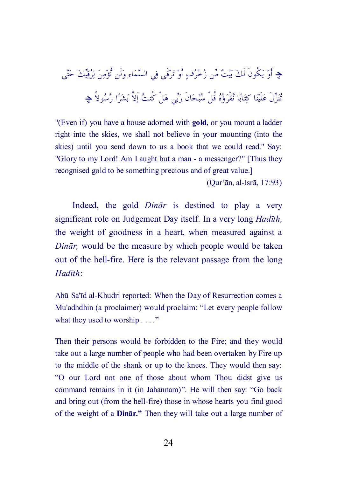جِ أَوْ يَكُونَ لَكَ بَيْتٌ مِّن زُخْرُفٍ أَوْ تَرْقَى فِي السَّمَاءِ وَلَن نُّؤْمِنَ لِرُقِيِّكَ حَتَّى .<br>تُنزِّلَ عَلَيْنَا كِتَابًا نَّقْرَؤُهُ قُلْ سُبْحَانَ ربِّي هَلْ كُنتُ إِلاَّ بَشَرًا رَّسُولاً جِ

"(Even if) you have a house adorned with **gold**, or you mount a ladder right into the skies, we shall not believe in your mounting (into the skies) until you send down to us a book that we could read." Say: "Glory to my Lord! Am I aught but a man - a messenger?" [Thus they recognised gold to be something precious and of great value.]

(Qur'ān, al-Isrā, 17:93)

Indeed, the gold *Dinār* is destined to play a very significant role on Judgement Day itself. In a very long Hadīth, the weight of goodness in a heart, when measured against a Dinār, would be the measure by which people would be taken out of the hell-fire. Here is the relevant passage from the long Hadīth:

Abū Sa'īd al-Khudri reported: When the Day of Resurrection comes a Mu'adhdhin (a proclaimer) would proclaim: "Let every people follow what they used to worship . . . ."

Then their persons would be forbidden to the Fire; and they would take out a large number of people who had been overtaken by Fire up to the middle of the shank or up to the knees. They would then say: "O our Lord not one of those about whom Thou didst give us command remains in it (in Jahannam)". He will then say: "Go back and bring out (from the hell-fire) those in whose hearts you find good of the weight of a Dinār." Then they will take out a large number of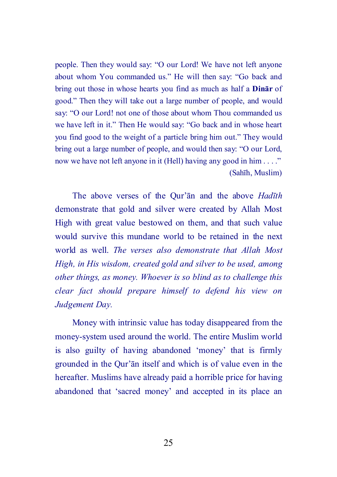people. Then they would say: "O our Lord! We have not left anyone about whom You commanded us." He will then say: "Go back and bring out those in whose hearts you find as much as half a **Dinar** of good." Then they will take out a large number of people, and would say: "O our Lord! not one of those about whom Thou commanded us we have left in it." Then He would say: "Go back and in whose heart you find good to the weight of a particle bring him out." They would bring out a large number of people, and would then say: "O our Lord, now we have not left anyone in it (Hell) having any good in him . . . ." (Sahīh, Muslim)

The above verses of the Qur'ān and the above Hadīth demonstrate that gold and silver were created by Allah Most High with great value bestowed on them, and that such value would survive this mundane world to be retained in the next world as well. The verses also demonstrate that Allah Most High, in His wisdom, created gold and silver to be used, among other things, as money. Whoever is so blind as to challenge this clear fact should prepare himself to defend his view on Judgement Day.

Money with intrinsic value has today disappeared from the money-system used around the world. The entire Muslim world is also guilty of having abandoned 'money' that is firmly grounded in the Qur'ān itself and which is of value even in the hereafter. Muslims have already paid a horrible price for having abandoned that 'sacred money' and accepted in its place an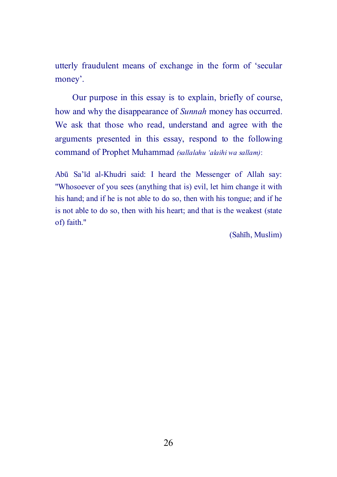utterly fraudulent means of exchange in the form of 'secular money'.

Our purpose in this essay is to explain, briefly of course, how and why the disappearance of *Sunnah* money has occurred. We ask that those who read, understand and agree with the arguments presented in this essay, respond to the following command of Prophet Muhammad (sallalahu 'alaihi wa sallam):

Abū Sa'īd al-Khudri said: I heard the Messenger of Allah say: "Whosoever of you sees (anything that is) evil, let him change it with his hand; and if he is not able to do so, then with his tongue; and if he is not able to do so, then with his heart; and that is the weakest (state of) faith."

(Sahīh, Muslim)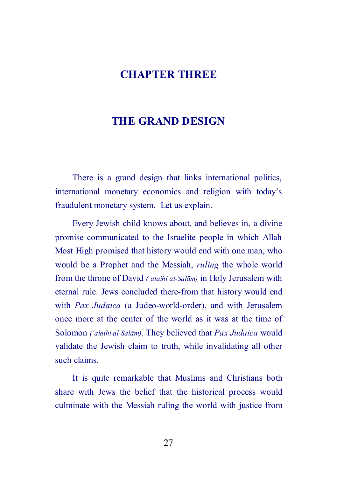### CHAPTER THREE

## THE GRAND DESIGN

There is a grand design that links international politics, international monetary economics and religion with today's fraudulent monetary system. Let us explain.

Every Jewish child knows about, and believes in, a divine promise communicated to the Israelite people in which Allah Most High promised that history would end with one man, who would be a Prophet and the Messiah, ruling the whole world from the throne of David ('alaihi al-Salām) in Holy Jerusalem with eternal rule. Jews concluded there-from that history would end with Pax Judaica (a Judeo-world-order), and with Jerusalem once more at the center of the world as it was at the time of Solomon ('alaihi al-Salām). They believed that Pax Judaica would validate the Jewish claim to truth, while invalidating all other such claims.

It is quite remarkable that Muslims and Christians both share with Jews the belief that the historical process would culminate with the Messiah ruling the world with justice from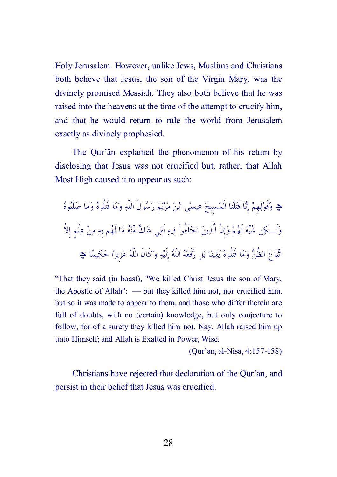Holy Jerusalem. However, unlike Jews, Muslims and Christians both believe that Jesus, the son of the Virgin Mary, was the divinely promised Messiah. They also both believe that he was raised into the heavens at the time of the attempt to crucify him, and that he would return to rule the world from Jerusalem exactly as divinely prophesied.

The Qur'ān explained the phenomenon of his return by disclosing that Jesus was not crucified but, rather, that Allah Most High caused it to appear as such:

U وقَولهِم إِنا قَتلْنا الْمسِيح عيسى ابن مريم رسولَ اللّه وما قَتلُوه وما صلَبوه ولَـكن شبه لَهم وإِنَّ الَّذين اختلَفُواْ فيه لَفي شك منه ما لَهم بِه من علْمٍ إِلاَّ اتباع الظَّن وما قَتلُوه يقينا بل رفَعه اللّه إِلَيه وكَانَ اللّه عزِيزا حكيما W

"That they said (in boast), "We killed Christ Jesus the son of Mary, the Apostle of Allah"; — but they killed him not, nor crucified him, but so it was made to appear to them, and those who differ therein are full of doubts, with no (certain) knowledge, but only conjecture to follow, for of a surety they killed him not. Nay, Allah raised him up unto Himself; and Allah is Exalted in Power, Wise.

(Qur'ān, al-Nisā, 4:157-158)

Christians have rejected that declaration of the Qur'ān, and persist in their belief that Jesus was crucified.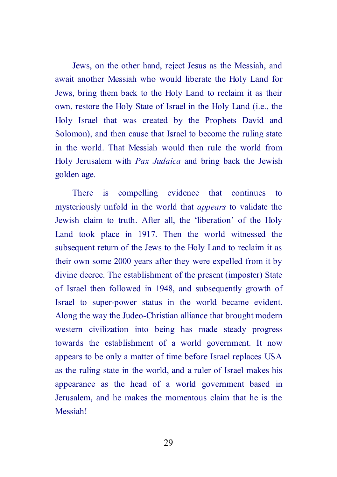Jews, on the other hand, reject Jesus as the Messiah, and await another Messiah who would liberate the Holy Land for Jews, bring them back to the Holy Land to reclaim it as their own, restore the Holy State of Israel in the Holy Land (i.e., the Holy Israel that was created by the Prophets David and Solomon), and then cause that Israel to become the ruling state in the world. That Messiah would then rule the world from Holy Jerusalem with Pax Judaica and bring back the Jewish golden age.

There is compelling evidence that continues to mysteriously unfold in the world that appears to validate the Jewish claim to truth. After all, the 'liberation' of the Holy Land took place in 1917. Then the world witnessed the subsequent return of the Jews to the Holy Land to reclaim it as their own some 2000 years after they were expelled from it by divine decree. The establishment of the present (imposter) State of Israel then followed in 1948, and subsequently growth of Israel to super-power status in the world became evident. Along the way the Judeo-Christian alliance that brought modern western civilization into being has made steady progress towards the establishment of a world government. It now appears to be only a matter of time before Israel replaces USA as the ruling state in the world, and a ruler of Israel makes his appearance as the head of a world government based in Jerusalem, and he makes the momentous claim that he is the Messiah!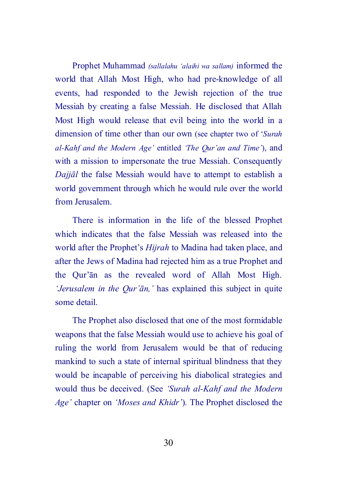Prophet Muhammad (sallalahu 'alaihi wa sallam) informed the world that Allah Most High, who had pre-knowledge of all events, had responded to the Jewish rejection of the true Messiah by creating a false Messiah. He disclosed that Allah Most High would release that evil being into the world in a dimension of time other than our own (see chapter two of 'Surah al-Kahf and the Modern Age' entitled 'The Qur'an and Time'), and with a mission to impersonate the true Messiah. Consequently Dajjāl the false Messiah would have to attempt to establish a world government through which he would rule over the world from Jerusalem.

There is information in the life of the blessed Prophet which indicates that the false Messiah was released into the world after the Prophet's Hijrah to Madina had taken place, and after the Jews of Madina had rejected him as a true Prophet and the Qur'ān as the revealed word of Allah Most High. 'Jerusalem in the Qur'ān,' has explained this subject in quite some detail.

The Prophet also disclosed that one of the most formidable weapons that the false Messiah would use to achieve his goal of ruling the world from Jerusalem would be that of reducing mankind to such a state of internal spiritual blindness that they would be incapable of perceiving his diabolical strategies and would thus be deceived. (See 'Surah al-Kahf and the Modern Age' chapter on 'Moses and Khidr'). The Prophet disclosed the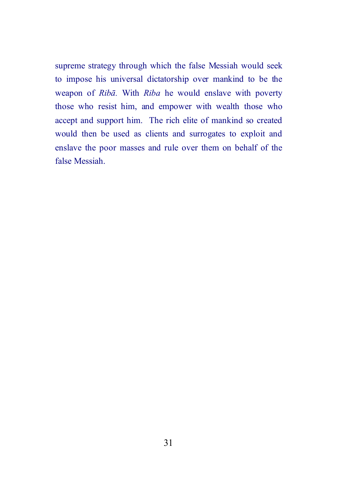supreme strategy through which the false Messiah would seek to impose his universal dictatorship over mankind to be the weapon of Ribā. With Riba he would enslave with poverty those who resist him, and empower with wealth those who accept and support him. The rich elite of mankind so created would then be used as clients and surrogates to exploit and enslave the poor masses and rule over them on behalf of the false Messiah.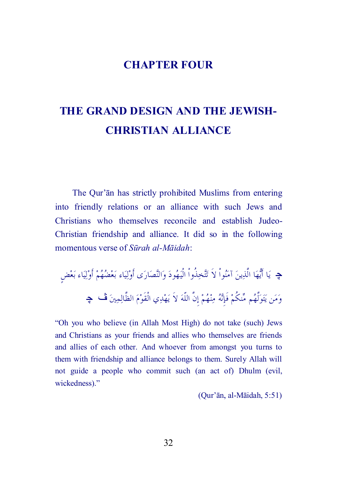#### CHAPTER FOUR

# THE GRAND DESIGN AND THE JEWISH-CHRISTIAN ALLIANCE

The Qur'ān has strictly prohibited Muslims from entering into friendly relations or an alliance with such Jews and Christians who themselves reconcile and establish Judeo-Christian friendship and alliance. It did so in the following momentous verse of Sūrah al-Māidah:

U يا أَيها الَّذين آمنواْ لاَ تتخذُواْ الْيهود والنصارى أَولياء بعضهم أَولياء بعضٍ وَمَن يَتَوَلَّهُم مِّنكُمْ فَإِنَّهُ مِنْهُمْ إِنَّ اللّهَ لاَ يَهْدِي الْقَوْمَ الظَّالِمِينَ **ڤ چ** 

"Oh you who believe (in Allah Most High) do not take (such) Jews and Christians as your friends and allies who themselves are friends and allies of each other. And whoever from amongst you turns to them with friendship and alliance belongs to them. Surely Allah will not guide a people who commit such (an act of) Dhulm (evil, wickedness)."

(Qur'ān, al-Māidah, 5:51)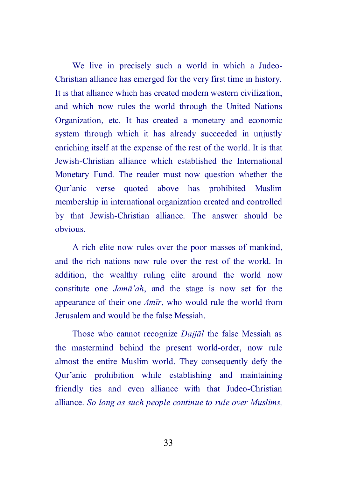We live in precisely such a world in which a Judeo-Christian alliance has emerged for the very first time in history. It is that alliance which has created modern western civilization, and which now rules the world through the United Nations Organization, etc. It has created a monetary and economic system through which it has already succeeded in unjustly enriching itself at the expense of the rest of the world. It is that Jewish-Christian alliance which established the International Monetary Fund. The reader must now question whether the Qur'anic verse quoted above has prohibited Muslim membership in international organization created and controlled by that Jewish-Christian alliance. The answer should be obvious.

A rich elite now rules over the poor masses of mankind, and the rich nations now rule over the rest of the world. In addition, the wealthy ruling elite around the world now constitute one Jamā'ah, and the stage is now set for the appearance of their one Amīr, who would rule the world from Jerusalem and would be the false Messiah.

Those who cannot recognize Dajjāl the false Messiah as the mastermind behind the present world-order, now rule almost the entire Muslim world. They consequently defy the Qur'anic prohibition while establishing and maintaining friendly ties and even alliance with that Judeo-Christian alliance. So long as such people continue to rule over Muslims,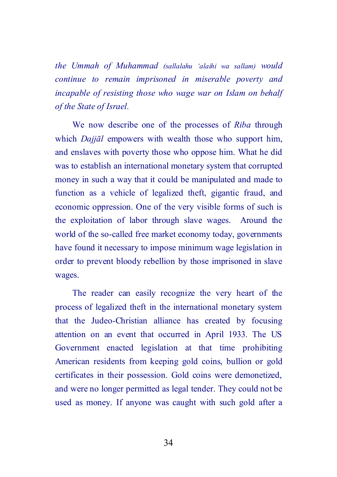the Ummah of Muhammad (sallalahu 'alaihi wa sallam) would continue to remain imprisoned in miserable poverty and incapable of resisting those who wage war on Islam on behalf of the State of Israel.

We now describe one of the processes of Riba through which *Dajjāl* empowers with wealth those who support him, and enslaves with poverty those who oppose him. What he did was to establish an international monetary system that corrupted money in such a way that it could be manipulated and made to function as a vehicle of legalized theft, gigantic fraud, and economic oppression. One of the very visible forms of such is the exploitation of labor through slave wages. Around the world of the so-called free market economy today, governments have found it necessary to impose minimum wage legislation in order to prevent bloody rebellion by those imprisoned in slave wages.

The reader can easily recognize the very heart of the process of legalized theft in the international monetary system that the Judeo-Christian alliance has created by focusing attention on an event that occurred in April 1933. The US Government enacted legislation at that time prohibiting American residents from keeping gold coins, bullion or gold certificates in their possession. Gold coins were demonetized, and were no longer permitted as legal tender. They could not be used as money. If anyone was caught with such gold after a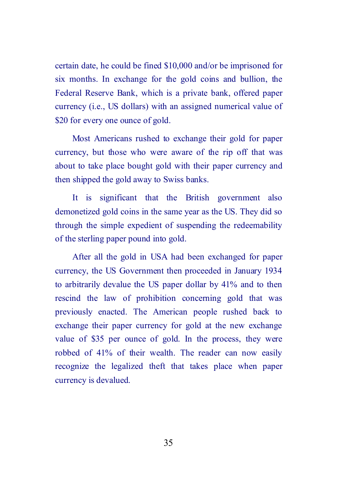certain date, he could be fined \$10,000 and/or be imprisoned for six months. In exchange for the gold coins and bullion, the Federal Reserve Bank, which is a private bank, offered paper currency (i.e., US dollars) with an assigned numerical value of \$20 for every one ounce of gold.

Most Americans rushed to exchange their gold for paper currency, but those who were aware of the rip off that was about to take place bought gold with their paper currency and then shipped the gold away to Swiss banks.

It is significant that the British government also demonetized gold coins in the same year as the US. They did so through the simple expedient of suspending the redeemability of the sterling paper pound into gold.

After all the gold in USA had been exchanged for paper currency, the US Government then proceeded in January 1934 to arbitrarily devalue the US paper dollar by 41% and to then rescind the law of prohibition concerning gold that was previously enacted. The American people rushed back to exchange their paper currency for gold at the new exchange value of \$35 per ounce of gold. In the process, they were robbed of 41% of their wealth. The reader can now easily recognize the legalized theft that takes place when paper currency is devalued.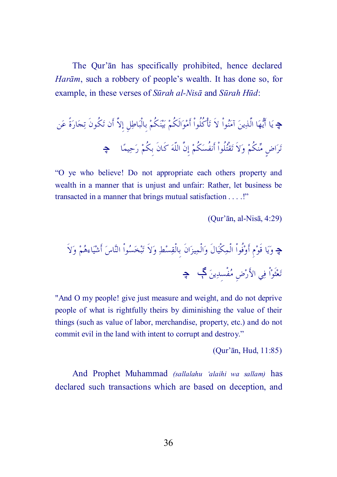The Qur'ān has specifically prohibited, hence declared Harām, such a robbery of people's wealth. It has done so, for example, in these verses of Sūrah al-Nisā and Sūrah Hūd:

 U يا أَيها الَّذين آمنواْ لاَ تأْكُلُواْ أَموالَكُم بينكُم بِالْباطلِ إِلاَّ أَن تكُونَ تجارةً عن تراضٍ منكُم ولاَ تقْتلُواْ أَنفُسكُم إِنَّ اللّه كَانَ بِكُم رحيما W

"O ye who believe! Do not appropriate each others property and wealth in a manner that is unjust and unfair: Rather, let business be transacted in a manner that brings mutual satisfaction . . . .!"

(Qur'ān, al-Nisā, 4:29)

U ويا قَومِ أَوفُواْ الْمكْيالَ والْميزانَ بِالْقسط ولاَ تبخسواْ الناس أَشياءهم ولاَ تعثَواْ في الأَرضِ مفْسِدين ڳ W

"And O my people! give just measure and weight, and do not deprive people of what is rightfully theirs by diminishing the value of their things (such as value of labor, merchandise, property, etc.) and do not commit evil in the land with intent to corrupt and destroy."

(Qur'ān, Hud, 11:85)

And Prophet Muhammad (sallalahu 'alaihi wa sallam) has declared such transactions which are based on deception, and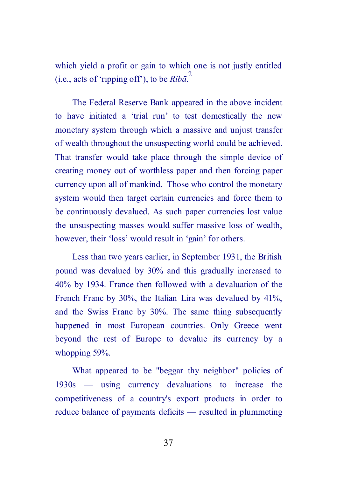which yield a profit or gain to which one is not justly entitled (i.e., acts of 'ripping off'), to be  $Rib\bar{a}$ .

The Federal Reserve Bank appeared in the above incident to have initiated a 'trial run' to test domestically the new monetary system through which a massive and unjust transfer of wealth throughout the unsuspecting world could be achieved. That transfer would take place through the simple device of creating money out of worthless paper and then forcing paper currency upon all of mankind. Those who control the monetary system would then target certain currencies and force them to be continuously devalued. As such paper currencies lost value the unsuspecting masses would suffer massive loss of wealth, however, their 'loss' would result in 'gain' for others.

Less than two years earlier, in September 1931, the British pound was devalued by 30% and this gradually increased to 40% by 1934. France then followed with a devaluation of the French Franc by 30%, the Italian Lira was devalued by 41%, and the Swiss Franc by 30%. The same thing subsequently happened in most European countries. Only Greece went beyond the rest of Europe to devalue its currency by a whopping 59%.

What appeared to be "beggar thy neighbor" policies of 1930s — using currency devaluations to increase the competitiveness of a country's export products in order to reduce balance of payments deficits — resulted in plummeting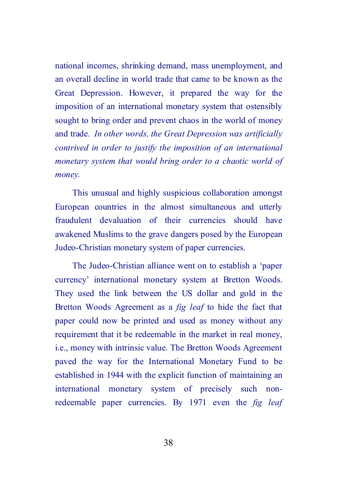national incomes, shrinking demand, mass unemployment, and an overall decline in world trade that came to be known as the Great Depression. However, it prepared the way for the imposition of an international monetary system that ostensibly sought to bring order and prevent chaos in the world of money and trade. In other words, the Great Depression was artificially contrived in order to justify the imposition of an international monetary system that would bring order to a chaotic world of money.

This unusual and highly suspicious collaboration amongst European countries in the almost simultaneous and utterly fraudulent devaluation of their currencies should have awakened Muslims to the grave dangers posed by the European Judeo-Christian monetary system of paper currencies.

The Judeo-Christian alliance went on to establish a 'paper currency' international monetary system at Bretton Woods. They used the link between the US dollar and gold in the Bretton Woods Agreement as a fig leaf to hide the fact that paper could now be printed and used as money without any requirement that it be redeemable in the market in real money, i.e., money with intrinsic value. The Bretton Woods Agreement paved the way for the International Monetary Fund to be established in 1944 with the explicit function of maintaining an international monetary system of precisely such nonredeemable paper currencies. By 1971 even the *fig leaf*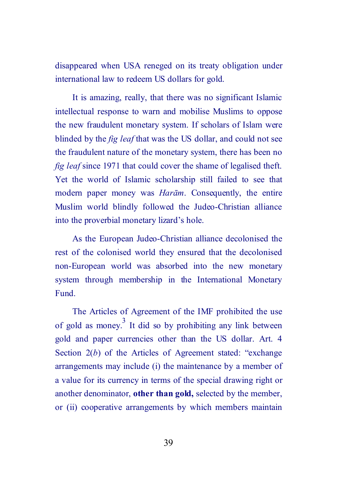disappeared when USA reneged on its treaty obligation under international law to redeem US dollars for gold.

It is amazing, really, that there was no significant Islamic intellectual response to warn and mobilise Muslims to oppose the new fraudulent monetary system. If scholars of Islam were blinded by the *fig leaf* that was the US dollar, and could not see the fraudulent nature of the monetary system, there has been no fig leaf since 1971 that could cover the shame of legalised theft. Yet the world of Islamic scholarship still failed to see that modern paper money was *Harām*. Consequently, the entire Muslim world blindly followed the Judeo-Christian alliance into the proverbial monetary lizard's hole.

As the European Judeo-Christian alliance decolonised the rest of the colonised world they ensured that the decolonised non-European world was absorbed into the new monetary system through membership in the International Monetary Fund.

The Articles of Agreement of the IMF prohibited the use of gold as money.<sup>3</sup> It did so by prohibiting any link between gold and paper currencies other than the US dollar. Art. 4 Section  $2(b)$  of the Articles of Agreement stated: "exchange" arrangements may include (i) the maintenance by a member of a value for its currency in terms of the special drawing right or another denominator, other than gold, selected by the member, or (ii) cooperative arrangements by which members maintain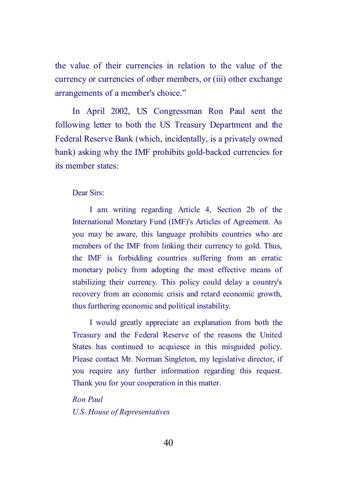the value of their currencies in relation to the value of the currency or currencies of other members, or (iii) other exchange arrangements of a member's choice."

In April 2002, US Congressman Ron Paul sent the following letter to both the US Treasury Department and the Federal Reserve Bank (which, incidentally, is a privately owned bank) asking why the IMF prohibits gold-backed currencies for its member states:

Dear Sirs:

I am writing regarding Article 4, Section 2b of the International Monetary Fund (IMF)'s Articles of Agreement. As you may be aware, this language prohibits countries who are members of the IMF from linking their currency to gold. Thus, the IMF is forbidding countries suffering from an erratic monetary policy from adopting the most effective means of stabilizing their currency. This policy could delay a country's recovery from an economic crisis and retard economic growth, thus furthering economic and political instability.

I would greatly appreciate an explanation from both the Treasury and the Federal Reserve of the reasons the United States has continued to acquiesce in this misguided policy. Please contact Mr. Norman Singleton, my legislative director, if you require any further information regarding this request. Thank you for your cooperation in this matter.

Ron Paul U.S. House of Representatives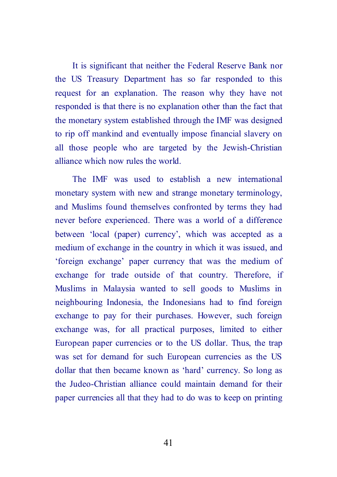It is significant that neither the Federal Reserve Bank nor the US Treasury Department has so far responded to this request for an explanation. The reason why they have not responded is that there is no explanation other than the fact that the monetary system established through the IMF was designed to rip off mankind and eventually impose financial slavery on all those people who are targeted by the Jewish-Christian alliance which now rules the world.

The IMF was used to establish a new international monetary system with new and strange monetary terminology, and Muslims found themselves confronted by terms they had never before experienced. There was a world of a difference between 'local (paper) currency', which was accepted as a medium of exchange in the country in which it was issued, and 'foreign exchange' paper currency that was the medium of exchange for trade outside of that country. Therefore, if Muslims in Malaysia wanted to sell goods to Muslims in neighbouring Indonesia, the Indonesians had to find foreign exchange to pay for their purchases. However, such foreign exchange was, for all practical purposes, limited to either European paper currencies or to the US dollar. Thus, the trap was set for demand for such European currencies as the US dollar that then became known as 'hard' currency. So long as the Judeo-Christian alliance could maintain demand for their paper currencies all that they had to do was to keep on printing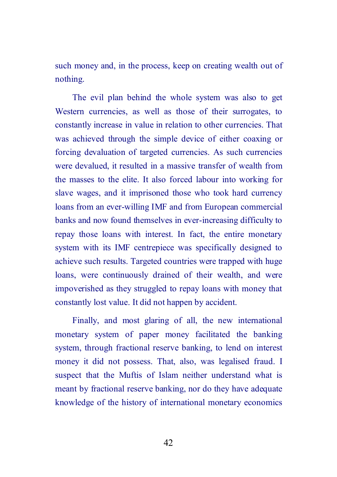such money and, in the process, keep on creating wealth out of nothing.

The evil plan behind the whole system was also to get Western currencies, as well as those of their surrogates, to constantly increase in value in relation to other currencies. That was achieved through the simple device of either coaxing or forcing devaluation of targeted currencies. As such currencies were devalued, it resulted in a massive transfer of wealth from the masses to the elite. It also forced labour into working for slave wages, and it imprisoned those who took hard currency loans from an ever-willing IMF and from European commercial banks and now found themselves in ever-increasing difficulty to repay those loans with interest. In fact, the entire monetary system with its IMF centrepiece was specifically designed to achieve such results. Targeted countries were trapped with huge loans, were continuously drained of their wealth, and were impoverished as they struggled to repay loans with money that constantly lost value. It did not happen by accident.

Finally, and most glaring of all, the new international monetary system of paper money facilitated the banking system, through fractional reserve banking, to lend on interest money it did not possess. That, also, was legalised fraud. I suspect that the Muftis of Islam neither understand what is meant by fractional reserve banking, nor do they have adequate knowledge of the history of international monetary economics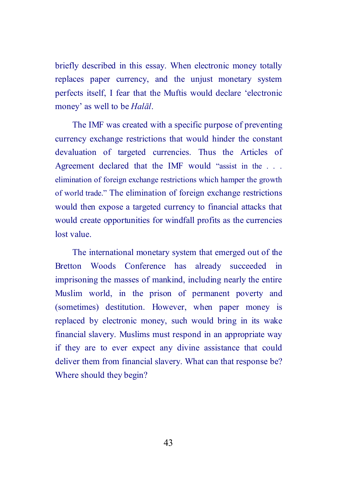briefly described in this essay. When electronic money totally replaces paper currency, and the unjust monetary system perfects itself, I fear that the Muftis would declare 'electronic money' as well to be Halāl.

The IMF was created with a specific purpose of preventing currency exchange restrictions that would hinder the constant devaluation of targeted currencies. Thus the Articles of Agreement declared that the IMF would "assist in the . . . elimination of foreign exchange restrictions which hamper the growth of world trade." The elimination of foreign exchange restrictions would then expose a targeted currency to financial attacks that would create opportunities for windfall profits as the currencies lost value.

The international monetary system that emerged out of the Bretton Woods Conference has already succeeded in imprisoning the masses of mankind, including nearly the entire Muslim world, in the prison of permanent poverty and (sometimes) destitution. However, when paper money is replaced by electronic money, such would bring in its wake financial slavery. Muslims must respond in an appropriate way if they are to ever expect any divine assistance that could deliver them from financial slavery. What can that response be? Where should they begin?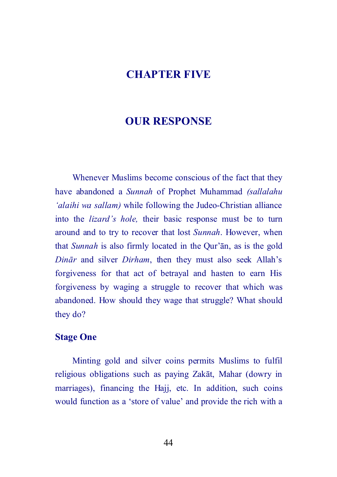## CHAPTER FIVE

## OUR RESPONSE

Whenever Muslims become conscious of the fact that they have abandoned a Sunnah of Prophet Muhammad (sallalahu 'alaihi wa sallam) while following the Judeo-Christian alliance into the lizard's hole, their basic response must be to turn around and to try to recover that lost Sunnah. However, when that Sunnah is also firmly located in the Qur'ān, as is the gold Dinār and silver Dirham, then they must also seek Allah's forgiveness for that act of betrayal and hasten to earn His forgiveness by waging a struggle to recover that which was abandoned. How should they wage that struggle? What should they do?

#### Stage One

Minting gold and silver coins permits Muslims to fulfil religious obligations such as paying Zakāt, Mahar (dowry in marriages), financing the Hajj, etc. In addition, such coins would function as a 'store of value' and provide the rich with a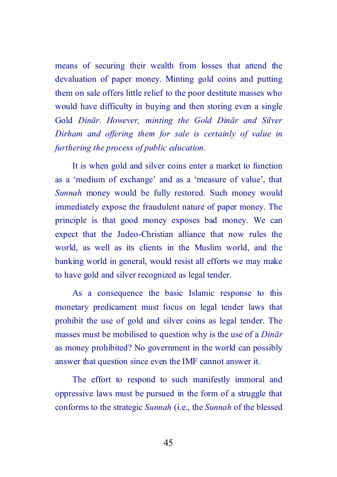means of securing their wealth from losses that attend the devaluation of paper money. Minting gold coins and putting them on sale offers little relief to the poor destitute masses who would have difficulty in buying and then storing even a single Gold Dinār. However, minting the Gold Dinār and Silver Dirham and offering them for sale is certainly of value in furthering the process of public education.

It is when gold and silver coins enter a market to function as a 'medium of exchange' and as a 'measure of value', that Sunnah money would be fully restored. Such money would immediately expose the fraudulent nature of paper money. The principle is that good money exposes bad money. We can expect that the Judeo-Christian alliance that now rules the world, as well as its clients in the Muslim world, and the banking world in general, would resist all efforts we may make to have gold and silver recognized as legal tender.

As a consequence the basic Islamic response to this monetary predicament must focus on legal tender laws that prohibit the use of gold and silver coins as legal tender. The masses must be mobilised to question why is the use of a *Dinār* as money prohibited? No government in the world can possibly answer that question since even the IMF cannot answer it.

The effort to respond to such manifestly immoral and oppressive laws must be pursued in the form of a struggle that conforms to the strategic Sunnah (i.e., the Sunnah of the blessed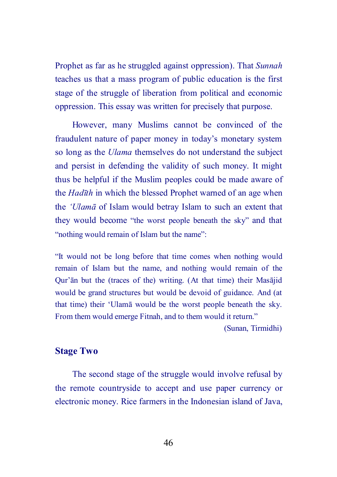Prophet as far as he struggled against oppression). That Sunnah teaches us that a mass program of public education is the first stage of the struggle of liberation from political and economic oppression. This essay was written for precisely that purpose.

However, many Muslims cannot be convinced of the fraudulent nature of paper money in today's monetary system so long as the *Ulama* themselves do not understand the subject and persist in defending the validity of such money. It might thus be helpful if the Muslim peoples could be made aware of the Hadīth in which the blessed Prophet warned of an age when the 'Ulamā of Islam would betray Islam to such an extent that they would become "the worst people beneath the sky" and that "nothing would remain of Islam but the name":

"It would not be long before that time comes when nothing would remain of Islam but the name, and nothing would remain of the Qur'ān but the (traces of the) writing. (At that time) their Masājid would be grand structures but would be devoid of guidance. And (at that time) their 'Ulamā would be the worst people beneath the sky. From them would emerge Fitnah, and to them would it return."

(Sunan, Tirmidhi)

#### Stage Two

The second stage of the struggle would involve refusal by the remote countryside to accept and use paper currency or electronic money. Rice farmers in the Indonesian island of Java,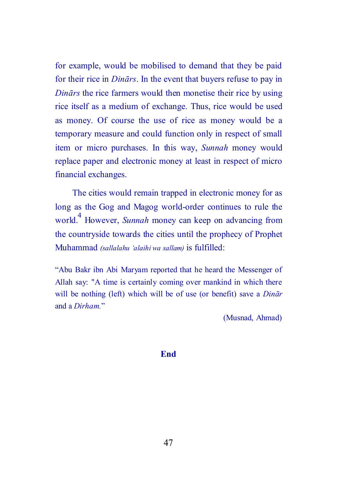for example, would be mobilised to demand that they be paid for their rice in Dinārs. In the event that buyers refuse to pay in Dinārs the rice farmers would then monetise their rice by using rice itself as a medium of exchange. Thus, rice would be used as money. Of course the use of rice as money would be a temporary measure and could function only in respect of small item or micro purchases. In this way, Sunnah money would replace paper and electronic money at least in respect of micro financial exchanges.

The cities would remain trapped in electronic money for as long as the Gog and Magog world-order continues to rule the world.<sup>4</sup> However, Sunnah money can keep on advancing from the countryside towards the cities until the prophecy of Prophet Muhammad (sallalahu 'alaihi wa sallam) is fulfilled:

"Abu Bakr ibn Abi Maryam reported that he heard the Messenger of Allah say: "A time is certainly coming over mankind in which there will be nothing (left) which will be of use (or benefit) save a *Dinār* and a Dirham."

(Musnad, Ahmad)

#### **End**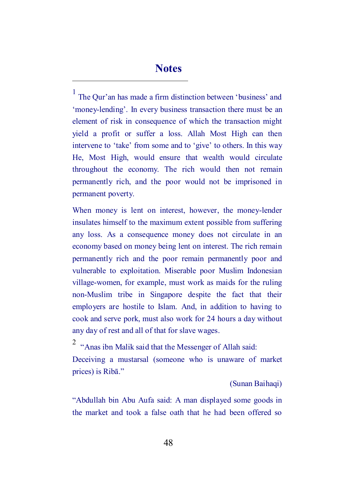**Notes** 

<u>.</u>

1 The Qur'an has made a firm distinction between 'business' and 'money-lending'. In every business transaction there must be an element of risk in consequence of which the transaction might yield a profit or suffer a loss. Allah Most High can then intervene to 'take' from some and to 'give' to others. In this way He, Most High, would ensure that wealth would circulate throughout the economy. The rich would then not remain permanently rich, and the poor would not be imprisoned in permanent poverty.

When money is lent on interest, however, the money-lender insulates himself to the maximum extent possible from suffering any loss. As a consequence money does not circulate in an economy based on money being lent on interest. The rich remain permanently rich and the poor remain permanently poor and vulnerable to exploitation. Miserable poor Muslim Indonesian village-women, for example, must work as maids for the ruling non-Muslim tribe in Singapore despite the fact that their employers are hostile to Islam. And, in addition to having to cook and serve pork, must also work for 24 hours a day without any day of rest and all of that for slave wages.

<sup>2</sup> "Anas ibn Malik said that the Messenger of Allah said:

Deceiving a mustarsal (someone who is unaware of market prices) is Ribā."

(Sunan Baihaqi)

"Abdullah bin Abu Aufa said: A man displayed some goods in the market and took a false oath that he had been offered so